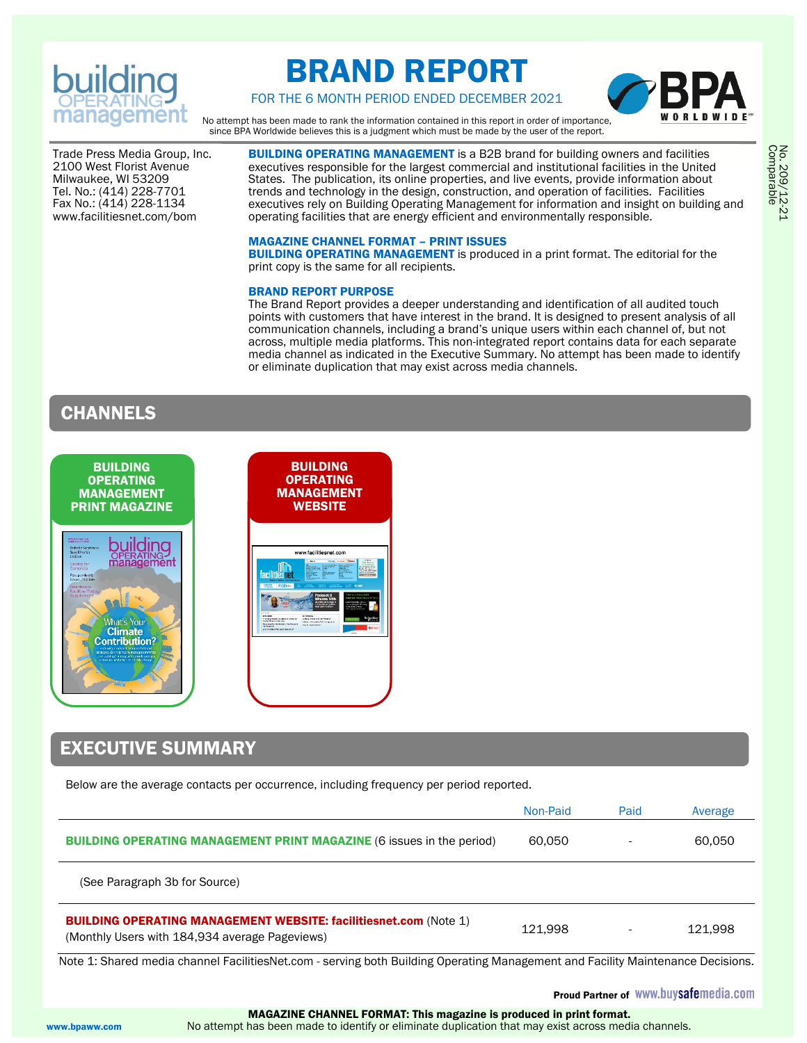

# BRAND REPORT



FOR THE 6 MONTH PERIOD ENDED DECEMBER 2021

No attempt has been made to rank the information contained in this report in order of importance, since BPA Worldwide believes this is a judgment which must be made by the user of the report.

Trade Press Media Group, Inc. 2100 West Florist Avenue Milwaukee, WI 53209 Tel. No.: (414) 228-7701 Fax No.: (414) 228-1134 www.facilitiesnet.com/bom

**BUILDING OPERATING MANAGEMENT** is a B2B brand for building owners and facilities executives responsible for the largest commercial and institutional facilities in the United States. The publication, its online properties, and live events, provide information about trends and technology in the design, construction, and operation of facilities. Facilities executives rely on Building Operating Management for information and insight on building and operating facilities that are energy efficient and environmentally responsible.

#### MAGAZINE CHANNEL FORMAT – PRINT ISSUES

**BUILDING OPERATING MANAGEMENT** is produced in a print format. The editorial for the print copy is the same for all recipients.

#### BRAND REPORT PURPOSE

The Brand Report provides a deeper understanding and identification of all audited touch points with customers that have interest in the brand. It is designed to present analysis of all communication channels, including a brand's unique users within each channel of, but not across, multiple media platforms. This non-integrated report contains data for each separate media channel as indicated in the Executive Summary. No attempt has been made to identify or eliminate duplication that may exist across media channels.

### **CHANNELS**



### EXECUTIVE SUMMARY

Below are the average contacts per occurrence, including frequency per period reported.

|                                                                                                                            | Non-Paid | Paid | Average |
|----------------------------------------------------------------------------------------------------------------------------|----------|------|---------|
| <b>BUILDING OPERATING MANAGEMENT PRINT MAGAZINE (6 issues in the period)</b>                                               | 60.050   |      | 60.050  |
| (See Paragraph 3b for Source)                                                                                              |          |      |         |
| <b>BUILDING OPERATING MANAGEMENT WEBSITE: facilitiesnet.com (Note 1)</b><br>(Monthly Users with 184,934 average Pageviews) | 121.998  |      | 121.998 |

Note 1: Shared media channel FacilitiesNet.com - serving both Building Operating Management and Facility Maintenance Decisions.

Proud Partner of WWW.buysafemedia.com

 MAGAZINE CHANNEL FORMAT: This magazine is produced in print format. www.bpaww.com No attempt has been made to identify or eliminate duplication that may exist across media channels.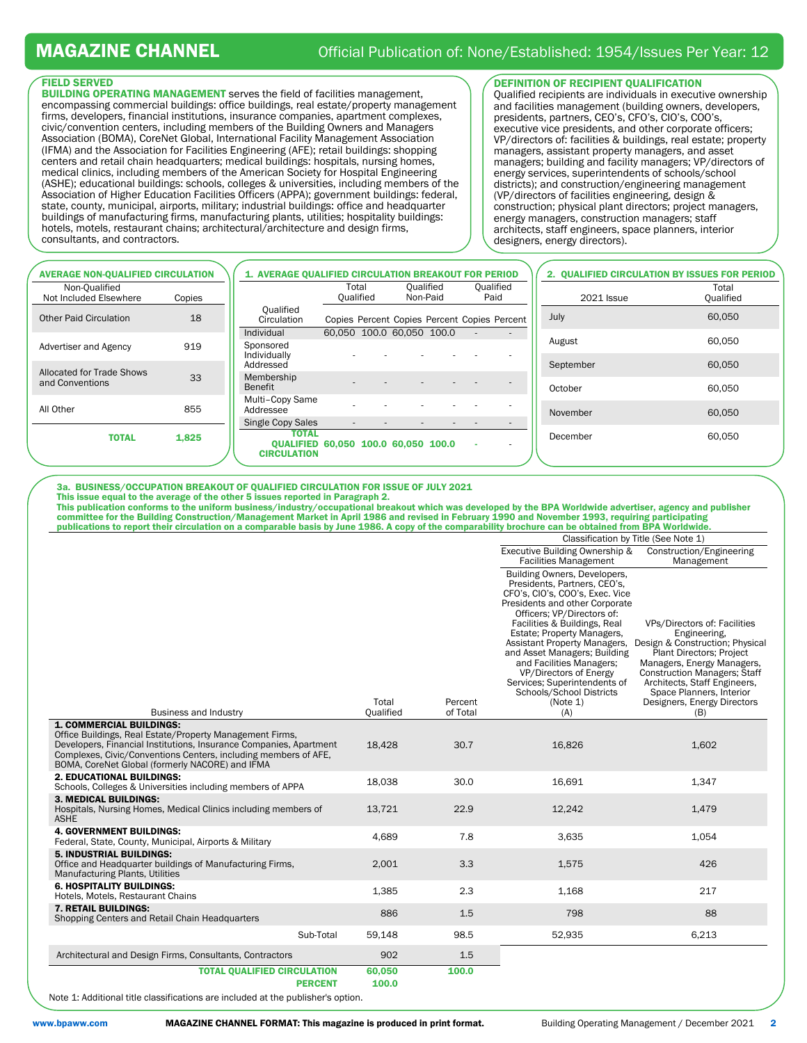#### FIELD SERVED

BUILDING OPERATING MANAGEMENT serves the field of facilities management, encompassing commercial buildings: office buildings, real estate/property management firms, developers, financial institutions, insurance companies, apartment complexes, civic/convention centers, including members of the Building Owners and Managers Association (BOMA), CoreNet Global, International Facility Management Association (IFMA) and the Association for Facilities Engineering (AFE); retail buildings: shopping centers and retail chain headquarters; medical buildings: hospitals, nursing homes, medical clinics, including members of the American Society for Hospital Engineering (ASHE); educational buildings: schools, colleges & universities, including members of the Association of Higher Education Facilities Officers (APPA); government buildings: federal, state, county, municipal, airports, military; industrial buildings: office and headquarter buildings of manufacturing firms, manufacturing plants, utilities; hospitality buildings: hotels, motels, restaurant chains; architectural/architecture and design firms, consultants, and contractors.

#### DEFINITION OF RECIPIENT QUALIFICATION

Qualified recipients are individuals in executive ownership and facilities management (building owners, developers, presidents, partners, CEO's, CFO's, CIO's, COO's, executive vice presidents, and other corporate officers; VP/directors of: facilities & buildings, real estate; property managers, assistant property managers, and asset managers; building and facility managers; VP/directors of energy services, superintendents of schools/school districts); and construction/engineering management (VP/directors of facilities engineering, design & construction; physical plant directors; project managers, energy managers, construction managers; staff architects, staff engineers, space planners, interior designers, energy directors).

| <b>AVERAGE NON-QUALIFIED CIRCULATION</b> |        | 1. AVERAGE QUALIFIED CIRCULATION BREAKOUT FOR PERIOD                                                  |                           |                       |                                              |                   | 2. QUALIFIED CIRCULATION BY ISSUES FOR PERIOD |
|------------------------------------------|--------|-------------------------------------------------------------------------------------------------------|---------------------------|-----------------------|----------------------------------------------|-------------------|-----------------------------------------------|
| Non-Oualified<br>Not Included Elsewhere  | Copies |                                                                                                       | Total<br>Qualified        | Oualified<br>Non-Paid | Oualified<br>Paid                            | <b>2021 Issue</b> | Total<br>Qualified                            |
| <b>Other Paid Circulation</b>            | 18     | Qualified<br>Circulation                                                                              |                           |                       | Copies Percent Copies Percent Copies Percent | July              | 60,050                                        |
| Advertiser and Agency                    | 919    | Individual<br>Sponsored                                                                               | 60.050 100.0 60.050 100.0 |                       | $\sim$                                       | August            | 60.050                                        |
| Allocated for Trade Shows                | 33     | Individually<br>Addressed<br>Membership                                                               |                           |                       |                                              | September         | 60.050                                        |
| and Conventions                          |        | <b>Benefit</b>                                                                                        |                           |                       |                                              | October           | 60.050                                        |
| All Other                                | 855    | Multi-Copy Same<br>Addressee                                                                          |                           |                       | $\overline{a}$                               | November          | 60.050                                        |
| <b>TOTAL</b>                             | 1,825  | <b>Single Copy Sales</b><br><b>TOTAL</b><br>QUALIFIED 60.050 100.0 60.050 100.0<br><b>CIRCULATION</b> |                           |                       | $\overline{a}$<br>$\sim$<br>$\sim$           | December          | 60.050                                        |
|                                          |        |                                                                                                       |                           |                       |                                              |                   |                                               |

3a. BUSINESS/OCCUPATION BREAKOUT OF QUALIFIED CIRCULATION FOR ISSUE OF JULY 2021

This issue equal to the average of the other 5 issues reported in Paragraph 2.

This publication conforms to the uniform business/industry/occupational breakout which was developed by the BPA Worldwide advertiser, agency and publisher committee for the Building Construction/Management Market in April 1986 and revised in February 1990 and November 1993, requiring participating<br>publications to report their circulation on a comparable basis by June 1986. A

|  |  | ICONIC DIEN CITCUIACIÓN ON A COMPATADIC DASIS DY JUNC 1900. A CODY OF THE COMPATADINTY DIOCHUIC CAN DE ODTAMENT DE A WOMUWIUC. |
|--|--|--------------------------------------------------------------------------------------------------------------------------------|
|  |  | $\Omega$ . $\Omega$ . $\Omega$ . $\Omega$ . The $\Gamma$                                                                       |

|                                                                                                                                                                                                                                      |                    |                     | Classification by Title (See Note 1)                                                                                                                                                                                                                                                                                                                                                                                               |                                                                                                                                                                                                                                                                                    |  |
|--------------------------------------------------------------------------------------------------------------------------------------------------------------------------------------------------------------------------------------|--------------------|---------------------|------------------------------------------------------------------------------------------------------------------------------------------------------------------------------------------------------------------------------------------------------------------------------------------------------------------------------------------------------------------------------------------------------------------------------------|------------------------------------------------------------------------------------------------------------------------------------------------------------------------------------------------------------------------------------------------------------------------------------|--|
|                                                                                                                                                                                                                                      |                    |                     | Executive Building Ownership &<br><b>Facilities Management</b>                                                                                                                                                                                                                                                                                                                                                                     | Construction/Engineering<br>Management                                                                                                                                                                                                                                             |  |
| <b>Business and Industry</b>                                                                                                                                                                                                         | Total<br>Qualified | Percent<br>of Total | Building Owners, Developers,<br>Presidents, Partners, CEO's,<br>CFO's, CIO's, COO's, Exec. Vice<br>Presidents and other Corporate<br>Officers: VP/Directors of:<br>Facilities & Buildings, Real<br>Estate; Property Managers,<br>Assistant Property Managers,<br>and Asset Managers; Building<br>and Facilities Managers;<br>VP/Directors of Energy<br>Services; Superintendents of<br>Schools/School Districts<br>(Note 1)<br>(A) | VPs/Directors of: Facilities<br>Engineering,<br>Design & Construction; Physical<br>Plant Directors; Project<br>Managers, Energy Managers,<br><b>Construction Managers: Staff</b><br>Architects, Staff Engineers,<br>Space Planners, Interior<br>Designers, Energy Directors<br>(B) |  |
| <b>1. COMMERCIAL BUILDINGS:</b><br>Office Buildings, Real Estate/Property Management Firms,<br>Developers, Financial Institutions, Insurance Companies, Apartment<br>Complexes, Civic/Conventions Centers, including members of AFE, | 18,428             | 30.7                | 16,826                                                                                                                                                                                                                                                                                                                                                                                                                             | 1,602                                                                                                                                                                                                                                                                              |  |
| BOMA, CoreNet Global (formerly NACORE) and IFMA<br><b>2. EDUCATIONAL BUILDINGS:</b><br>Schools, Colleges & Universities including members of APPA                                                                                    | 18,038             | 30.0                | 16,691                                                                                                                                                                                                                                                                                                                                                                                                                             | 1,347                                                                                                                                                                                                                                                                              |  |
| <b>3. MEDICAL BUILDINGS:</b><br>Hospitals, Nursing Homes, Medical Clinics including members of<br><b>ASHE</b>                                                                                                                        | 13,721             | 22.9                | 12,242                                                                                                                                                                                                                                                                                                                                                                                                                             | 1,479                                                                                                                                                                                                                                                                              |  |
| <b>4. GOVERNMENT BUILDINGS:</b><br>Federal, State, County, Municipal, Airports & Military                                                                                                                                            | 4,689              | 7.8                 | 3,635                                                                                                                                                                                                                                                                                                                                                                                                                              | 1,054                                                                                                                                                                                                                                                                              |  |
| <b>5. INDUSTRIAL BUILDINGS:</b><br>Office and Headquarter buildings of Manufacturing Firms,<br><b>Manufacturing Plants, Utilities</b>                                                                                                | 2,001              | 3.3                 | 1,575                                                                                                                                                                                                                                                                                                                                                                                                                              | 426                                                                                                                                                                                                                                                                                |  |
| <b>6. HOSPITALITY BUILDINGS:</b><br>Hotels, Motels, Restaurant Chains                                                                                                                                                                | 1,385              | 2.3                 | 1.168                                                                                                                                                                                                                                                                                                                                                                                                                              | 217                                                                                                                                                                                                                                                                                |  |
| <b>7. RETAIL BUILDINGS:</b><br>Shopping Centers and Retail Chain Headquarters                                                                                                                                                        | 886                | 1.5                 | 798                                                                                                                                                                                                                                                                                                                                                                                                                                | 88                                                                                                                                                                                                                                                                                 |  |
| Sub-Total                                                                                                                                                                                                                            | 59,148             | 98.5                | 52,935                                                                                                                                                                                                                                                                                                                                                                                                                             | 6,213                                                                                                                                                                                                                                                                              |  |
| Architectural and Design Firms, Consultants, Contractors                                                                                                                                                                             | 902                | 1.5                 |                                                                                                                                                                                                                                                                                                                                                                                                                                    |                                                                                                                                                                                                                                                                                    |  |
| <b>TOTAL QUALIFIED CIRCULATION</b><br><b>PERCENT</b>                                                                                                                                                                                 | 60,050<br>100.0    | 100.0               |                                                                                                                                                                                                                                                                                                                                                                                                                                    |                                                                                                                                                                                                                                                                                    |  |

Note 1: Additional title classifications are included at the publisher's option.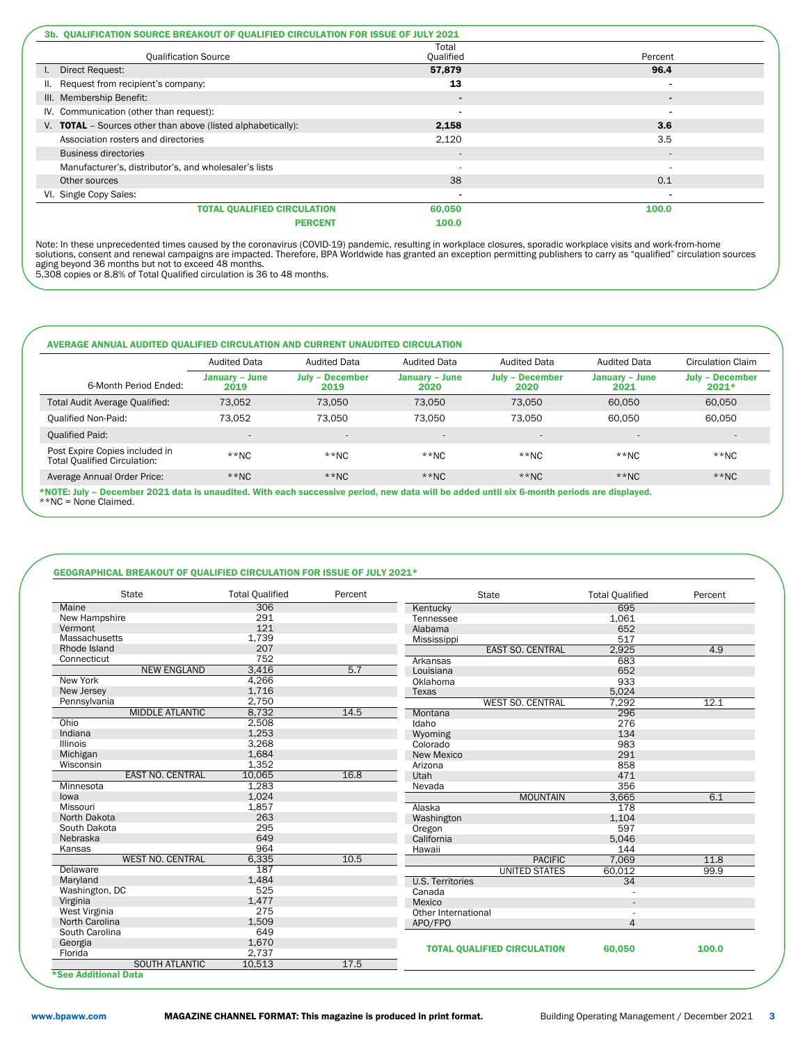| 3b. QUALIFICATION SOURCE BREAKOUT OF QUALIFIED CIRCULATION FOR ISSUE OF JULY 2021 |                         |                          |  |  |  |
|-----------------------------------------------------------------------------------|-------------------------|--------------------------|--|--|--|
| <b>Qualification Source</b>                                                       | Total<br>Qualified      | Percent                  |  |  |  |
| Direct Request:                                                                   | 57.879                  | 96.4                     |  |  |  |
| Request from recipient's company:<br>Ш.                                           | 13                      | $\blacksquare$           |  |  |  |
| III. Membership Benefit:                                                          | $\blacksquare$          | $\blacksquare$           |  |  |  |
| IV. Communication (other than request):                                           |                         | $\blacksquare$           |  |  |  |
| V. <b>TOTAL</b> - Sources other than above (listed alphabetically):               | 2,158                   | 3.6                      |  |  |  |
| Association rosters and directories                                               | 2,120                   | 3.5                      |  |  |  |
| <b>Business directories</b>                                                       | $\overline{a}$          | $\overline{\phantom{a}}$ |  |  |  |
| Manufacturer's, distributor's, and wholesaler's lists                             | ۰                       | $\overline{\phantom{a}}$ |  |  |  |
| Other sources                                                                     | 38                      | 0.1                      |  |  |  |
| VI. Single Copy Sales:                                                            | ۰                       | $\blacksquare$           |  |  |  |
| <b>TOTAL QUALIFIED CIRCULATION</b>                                                | 60,050                  | 100.0                    |  |  |  |
|                                                                                   | 100.0<br><b>PERCENT</b> |                          |  |  |  |

Note: In these unprecedented times caused by the coronavirus (COVID-19) pandemic, resulting in workplace closures, sporadic workplace visits and work-from-home<br>solutions, consent and renewal campaigns are impacted. Therefo

|                                                                       | <b>Audited Data</b>    | <b>Audited Data</b>            | <b>Audited Data</b>    | <b>Audited Data</b>            | <b>Audited Data</b>    | Circulation Claim                 |
|-----------------------------------------------------------------------|------------------------|--------------------------------|------------------------|--------------------------------|------------------------|-----------------------------------|
| 6-Month Period Ended:                                                 | January - June<br>2019 | <b>July - December</b><br>2019 | January – June<br>2020 | <b>July - December</b><br>2020 | January – June<br>2021 | <b>July - December</b><br>$2021*$ |
| Total Audit Average Qualified:                                        | 73,052                 | 73,050                         | 73,050                 | 73,050                         | 60,050                 | 60,050                            |
| <b>Qualified Non-Paid:</b>                                            | 73.052                 | 73.050                         | 73.050                 | 73.050                         | 60.050                 | 60,050                            |
| <b>Qualified Paid:</b>                                                |                        | $\overline{a}$                 |                        | $\sim$                         |                        | $\overline{\phantom{a}}$          |
| Post Expire Copies included in<br><b>Total Qualified Circulation:</b> | $*$ NC                 | $*$ NC                         | $**NC$                 | $**NC$                         | $**NC$                 | $**NC$                            |
| Average Annual Order Price:                                           | $*$ NC                 | $*$ NC                         | $**NC$                 | $**NC$                         | $*$ NC                 | $*$ NC                            |

\*NOTE: July – December 2021 data is unaudited. With each successive period, new data will be added until six 6-month periods are displayed. \*\*NC = None Claimed.

### GEOGRAPHICAL BREAKOUT OF QUALIFIED CIRCULATION FOR ISSUE OF JULY 2021\*

| <b>State</b>            | <b>Total Qualified</b> | Percent | <b>State</b>                       | <b>Total Qualified</b> | Percent |
|-------------------------|------------------------|---------|------------------------------------|------------------------|---------|
| Maine                   | 306                    |         | Kentucky                           | 695                    |         |
| New Hampshire           | 291                    |         | Tennessee                          | 1,061                  |         |
| Vermont                 | 121                    |         | Alabama                            | 652                    |         |
| Massachusetts           | 1,739                  |         | Mississippi                        | 517                    |         |
| Rhode Island            | 207                    |         | <b>EAST SO. CENTRAL</b>            | 2,925                  | 4.9     |
| Connecticut             | 752                    |         | Arkansas                           | 683                    |         |
| <b>NEW ENGLAND</b>      | 3,416                  | 5.7     | Louisiana                          | 652                    |         |
| New York                | 4,266                  |         | Oklahoma                           | 933                    |         |
| New Jersey              | 1.716                  |         | Texas                              | 5,024                  |         |
| Pennsylvania            | 2,750                  |         | <b>WEST SO. CENTRAL</b>            | 7,292                  | 12.1    |
| <b>MIDDLE ATLANTIC</b>  | 8,732                  | 14.5    | Montana                            | 296                    |         |
| Ohio                    | 2,508                  |         | Idaho                              | 276                    |         |
| Indiana                 | 1,253                  |         | Wyoming                            | 134                    |         |
| <b>Illinois</b>         | 3,268                  |         | Colorado                           | 983                    |         |
| Michigan                | 1,684                  |         | <b>New Mexico</b>                  | 291                    |         |
| Wisconsin               | 1.352                  |         | Arizona                            | 858                    |         |
| <b>EAST NO. CENTRAL</b> | 10.065                 | 16.8    | Utah                               | 471                    |         |
| Minnesota               | 1.283                  |         | Nevada                             | 356                    |         |
| lowa                    | 1,024                  |         | <b>MOUNTAIN</b>                    | 3,665                  | 6.1     |
| Missouri                | 1,857                  |         | Alaska                             | 178                    |         |
| North Dakota            | 263                    |         | Washington                         | 1,104                  |         |
| South Dakota            | 295                    |         | Oregon                             | 597                    |         |
| Nebraska                | 649                    |         | California                         | 5.046                  |         |
| Kansas                  | 964                    |         | Hawaii                             | 144                    |         |
| <b>WEST NO. CENTRAL</b> | 6,335                  | 10.5    | <b>PACIFIC</b>                     | 7,069                  | 11.8    |
| Delaware                | 187                    |         | <b>UNITED STATES</b>               | 60,012                 | 99.9    |
| Maryland                | 1,484                  |         | <b>U.S. Territories</b>            | 34                     |         |
| Washington, DC          | 525                    |         | Canada                             |                        |         |
| Virginia                | 1,477                  |         | Mexico                             |                        |         |
| West Virginia           | 275                    |         | Other International                |                        |         |
| North Carolina          | 1,509                  |         | APO/FPO                            | 4                      |         |
| South Carolina          | 649                    |         |                                    |                        |         |
| Georgia                 | 1,670                  |         |                                    |                        |         |
| Florida                 | 2,737                  |         | <b>TOTAL QUALIFIED CIRCULATION</b> | 60,050                 | 100.0   |
| <b>SOUTH ATLANTIC</b>   | 10,513                 | 17.5    |                                    |                        |         |